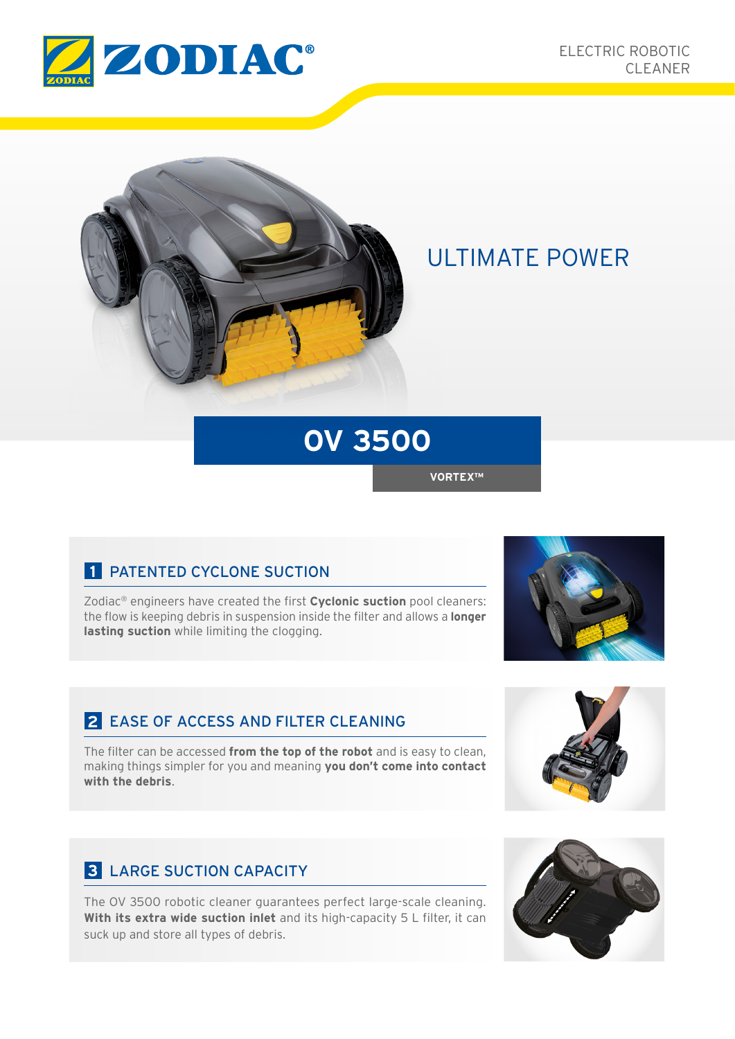



## ULTIMATE POWER

# **OV 3500**

**VORTEX™**

### **1** PATENTED CYCLONE SUCTION

Zodiac® engineers have created the first **Cyclonic suction** pool cleaners: the flow is keeping debris in suspension inside the filter and allows a **longer lasting suction** while limiting the clogging.

#### **2** EASE OF ACCESS AND FILTER CLEANING

The filter can be accessed **from the top of the robot** and is easy to clean, making things simpler for you and meaning **you don't come into contact with the debris**.

### **3** LARGE SUCTION CAPACITY

The OV 3500 robotic cleaner guarantees perfect large-scale cleaning. **With its extra wide suction inlet** and its high-capacity 5 L filter, it can suck up and store all types of debris.